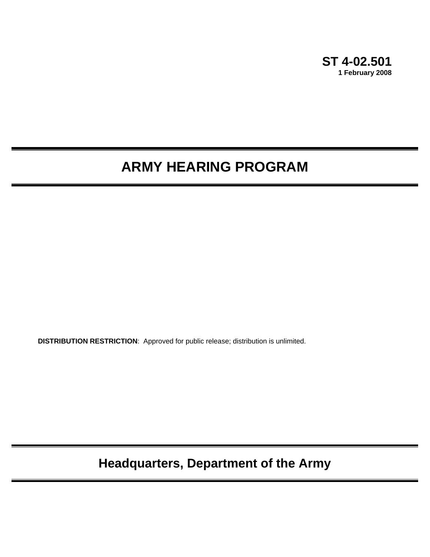

# **ARMY HEARING PROGRAM**

**DISTRIBUTION RESTRICTION**: Approved for public release; distribution is unlimited.

**Headquarters, Department of the Army**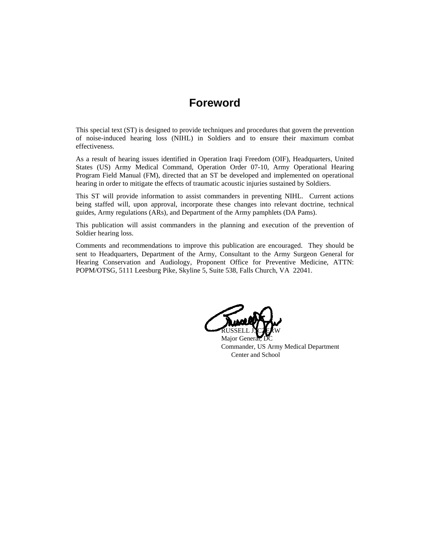## **Foreword**

This special text (ST) is designed to provide techniques and procedures that govern the prevention of noise-induced hearing loss (NIHL) in Soldiers and to ensure their maximum combat effectiveness.

As a result of hearing issues identified in Operation Iraqi Freedom (OIF), Headquarters, United States (US) Army Medical Command, Operation Order 07-10, Army Operational Hearing Program Field Manual (FM), directed that an ST be developed and implemented on operational hearing in order to mitigate the effects of traumatic acoustic injuries sustained by Soldiers.

This ST will provide information to assist commanders in preventing NIHL. Current actions being staffed will, upon approval, incorporate these changes into relevant doctrine, technical guides, Army regulations (ARs), and Department of the Army pamphlets (DA Pams).

This publication will assist commanders in the planning and execution of the prevention of Soldier hearing loss.

Comments and recommendations to improve this publication are encouraged. They should be sent to Headquarters, Department of the Army, Consultant to the Army Surgeon General for Hearing Conservation and Audiology, Proponent Office for Preventive Medicine, ATTN: POPM/OTSG, 5111 Leesburg Pike, Skyline 5, Suite 538, Falls Church, VA 22041.

RUSSELL J. CZERW

Major Genera Commander, US Army Medical Department Center and School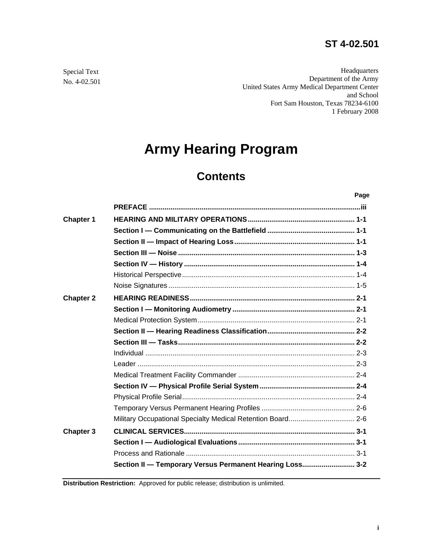## **ST 4-02.501**

Headquarters Department of the Army United States Army Medical Department Center and School Fort Sam Houston, Texas 78234-6100 1 February 2008

# **Army Hearing Program**

# **Contents**

| . .<br>٠<br>۰. |  |
|----------------|--|
|                |  |

| <b>Chapter 1</b> |                                                             |  |
|------------------|-------------------------------------------------------------|--|
|                  |                                                             |  |
|                  |                                                             |  |
|                  |                                                             |  |
|                  |                                                             |  |
|                  |                                                             |  |
|                  |                                                             |  |
| <b>Chapter 2</b> |                                                             |  |
|                  |                                                             |  |
|                  |                                                             |  |
|                  |                                                             |  |
|                  |                                                             |  |
|                  |                                                             |  |
|                  |                                                             |  |
|                  |                                                             |  |
|                  |                                                             |  |
|                  |                                                             |  |
|                  |                                                             |  |
|                  | Military Occupational Specialty Medical Retention Board 2-6 |  |
| <b>Chapter 3</b> |                                                             |  |
|                  |                                                             |  |
|                  |                                                             |  |
|                  | Section II - Temporary Versus Permanent Hearing Loss 3-2    |  |

**Distribution Restriction:** Approved for public release; distribution is unlimited.

Special Text No. 4-02.501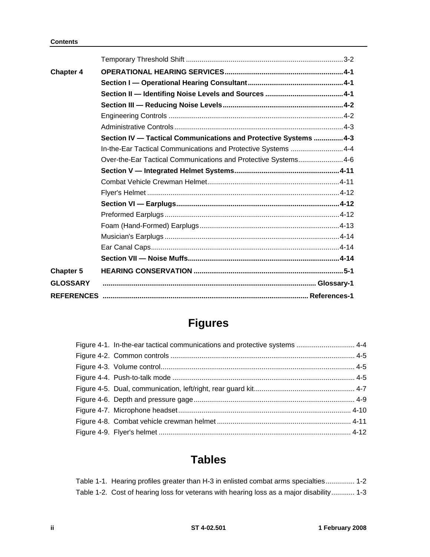| <b>Chapter 4</b> |                                                                  |  |
|------------------|------------------------------------------------------------------|--|
|                  |                                                                  |  |
|                  |                                                                  |  |
|                  |                                                                  |  |
|                  |                                                                  |  |
|                  |                                                                  |  |
|                  | Section IV - Tactical Communications and Protective Systems  4-3 |  |
|                  | In-the-Ear Tactical Communications and Protective Systems 4-4    |  |
|                  | Over-the-Ear Tactical Communications and Protective Systems 4-6  |  |
|                  |                                                                  |  |
|                  |                                                                  |  |
|                  |                                                                  |  |
|                  |                                                                  |  |
|                  |                                                                  |  |
|                  |                                                                  |  |
|                  |                                                                  |  |
|                  |                                                                  |  |
|                  |                                                                  |  |
| <b>Chapter 5</b> |                                                                  |  |
| <b>GLOSSARY</b>  |                                                                  |  |
|                  |                                                                  |  |

## **Figures**

| Figure 4-1. In-the-ear tactical communications and protective systems  4-4 |  |
|----------------------------------------------------------------------------|--|
|                                                                            |  |
|                                                                            |  |
|                                                                            |  |
|                                                                            |  |
|                                                                            |  |
|                                                                            |  |
|                                                                            |  |
|                                                                            |  |

## **Tables**

| Table 1-1. Hearing profiles greater than H-3 in enlisted combat arms specialties 1-2     |  |
|------------------------------------------------------------------------------------------|--|
| Table 1-2. Cost of hearing loss for veterans with hearing loss as a major disability 1-3 |  |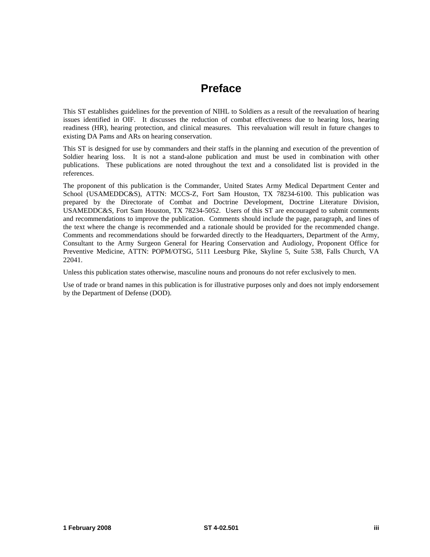## **Preface**

This ST establishes guidelines for the prevention of NIHL to Soldiers as a result of the reevaluation of hearing issues identified in OIF. It discusses the reduction of combat effectiveness due to hearing loss, hearing readiness (HR), hearing protection, and clinical measures. This reevaluation will result in future changes to existing DA Pams and ARs on hearing conservation.

This ST is designed for use by commanders and their staffs in the planning and execution of the prevention of Soldier hearing loss. It is not a stand-alone publication and must be used in combination with other publications. These publications are noted throughout the text and a consolidated list is provided in the references.

The proponent of this publication is the Commander, United States Army Medical Department Center and School (USAMEDDC&S), ATTN: MCCS-Z, Fort Sam Houston, TX 78234-6100. This publication was prepared by the Directorate of Combat and Doctrine Development, Doctrine Literature Division, USAMEDDC&S, Fort Sam Houston, TX 78234-5052. Users of this ST are encouraged to submit comments and recommendations to improve the publication. Comments should include the page, paragraph, and lines of the text where the change is recommended and a rationale should be provided for the recommended change. Comments and recommendations should be forwarded directly to the [Headquarters,](mailto:Headquarters) Department of the Army, Consultant to the Army Surgeon General for Hearing Conservation and Audiology, Proponent Office for Preventive Medicine, ATTN: POPM/OTSG, 5111 Leesburg Pike, Skyline 5, Suite 538, Falls Church, VA 22041.

Unless this publication states otherwise, masculine nouns and pronouns do not refer exclusively to men.

Use of trade or brand names in this publication is for illustrative purposes only and does not imply endorsement by the Department of Defense (DOD).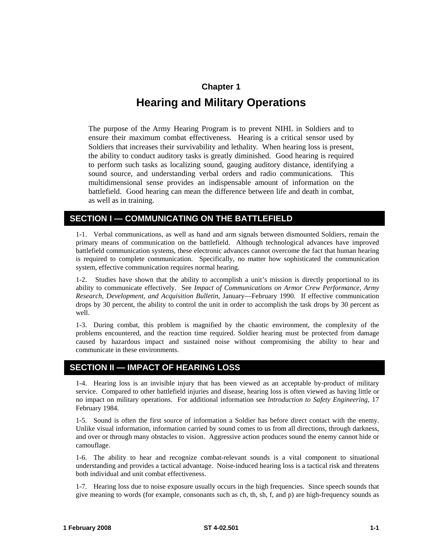## **Chapter 1 Hearing and Military Operations**

<span id="page-6-0"></span>The purpose of the Army Hearing Program is to prevent NIHL in Soldiers and to ensure their maximum combat effectiveness. Hearing is a critical sensor used by Soldiers that increases their survivability and lethality. When hearing loss is present, the ability to conduct auditory tasks is greatly diminished. Good hearing is required to perform such tasks as localizing sound, gauging auditory distance, identifying a sound source, and understanding verbal orders and radio communications. This multidimensional sense provides an indispensable amount of information on the battlefield. Good hearing can mean the difference between life and death in combat, as well as in training.

#### **SECTION I — COMMUNICATING ON THE BATTLEFIELD**

1-1. Verbal communications, as well as hand and arm signals between dismounted Soldiers, remain the primary means of communication on the battlefield. Although technological advances have improved battlefield communication systems, these electronic advances cannot overcome the fact that human hearing is required to complete communication. Specifically, no matter how sophisticated the communication system, effective communication requires normal hearing.

1-2. Studies have shown that the ability to accomplish a unit's mission is directly proportional to its ability to communicate effectively. See *Impact of Communications on Armor Crew Performance, Army Research, Development, and Acquisition Bulletin*, January—February 1990. If effective communication drops by 30 percent, the ability to control the unit in order to accomplish the task drops by 30 percent as well.

1-3. During combat, this problem is magnified by the chaotic environment, the complexity of the problems encountered, and the reaction time required. Soldier hearing must be protected from damage caused by hazardous impact and sustained noise without compromising the ability to hear and communicate in these environments.

#### **SECTION II — IMPACT OF HEARING LOSS**

1-4. Hearing loss is an invisible injury that has been viewed as an acceptable by-product of military service. Compared to other battlefield injuries and disease, hearing loss is often viewed as having little or no impact on military operations. For additional information see *Introduction to Safety Engineering*, 17 February 1984.

1-5. Sound is often the first source of information a Soldier has before direct contact with the enemy. Unlike visual information, information carried by sound comes to us from all directions, through darkness, and over or through many obstacles to vision. Aggressive action produces sound the enemy cannot hide or camouflage.

1-6. The ability to hear and recognize combat-relevant sounds is a vital component to situational understanding and provides a tactical advantage. Noise-induced hearing loss is a tactical risk and threatens both individual and unit combat effectiveness.

1-7. Hearing loss due to noise exposure usually occurs in the high frequencies. Since speech sounds that give meaning to words (for example, consonants such as ch, th, sh, f, and p) are high-frequency sounds as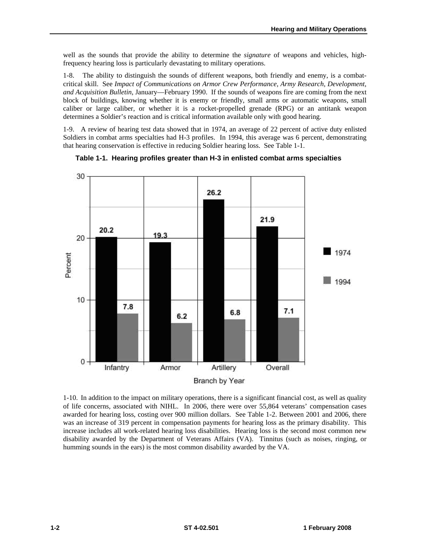<span id="page-7-0"></span>well as the sounds that provide the ability to determine the *signature* of weapons and vehicles, highfrequency hearing loss is particularly devastating to military operations.

1-8. The ability to distinguish the sounds of different weapons, both friendly and enemy, is a combatcritical skill. See *Impact of Communications on Armor Crew Performance, Army Research, Development, and Acquisition Bulletin*, January—February 1990. If the sounds of weapons fire are coming from the next block of buildings, knowing whether it is enemy or friendly, small arms or automatic weapons, small caliber or large caliber, or whether it is a rocket-propelled grenade (RPG) or an antitank weapon determines a Soldier's reaction and is critical information available only with good hearing.

1-9. A review of hearing test data showed that in 1974, an average of 22 percent of active duty enlisted Soldiers in combat arms specialties had H-3 profiles. In 1994, this average was 6 percent, demonstrating that hearing conservation is effective in reducing Soldier hearing loss. See Table 1-1.



**Table 1-1. Hearing profiles greater than H-3 in enlisted combat arms specialties** 

1-10. In addition to the impact on military operations, there is a significant financial cost, as well as quality of life concerns, associated with NIHL. In 2006, there were over 55,864 veterans' compensation cases awarded for hearing loss, costing over 900 million dollars. See Table 1-2. Between 2001 and 2006, there was an increase of 319 percent in compensation payments for hearing loss as the primary disability. This increase includes all work-related hearing loss disabilities. Hearing loss is the second most common new disability awarded by the Department of Veterans Affairs (VA). Tinnitus (such as noises, ringing, or humming sounds in the ears) is the most common disability awarded by the VA.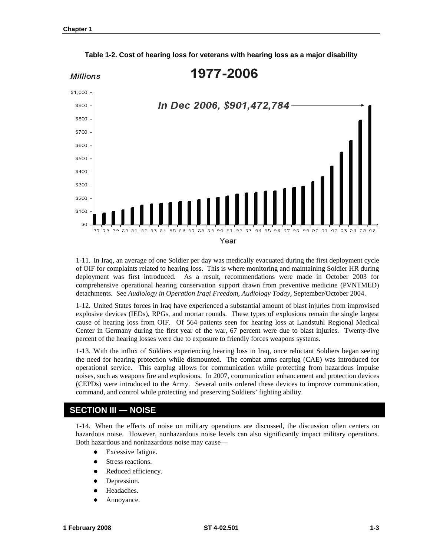<span id="page-8-0"></span>

**Table 1-2. Cost of hearing loss for veterans with hearing loss as a major disability** 

1-11. In Iraq, an average of one Soldier per day was medically evacuated during the first deployment cycle of OIF for complaints related to hearing loss. This is where monitoring and maintaining Soldier HR during deployment was first introduced. As a result, recommendations were made in October 2003 for comprehensive operational hearing conservation support drawn from preventive medicine (PVNTMED) detachments. See *Audiology in Operation Iraqi Freedom, Audiology Today,* September/October 2004.

1-12. United States forces in Iraq have experienced a substantial amount of blast injuries from improvised explosive devices (IEDs), RPGs, and mortar rounds. These types of explosions remain the single largest cause of hearing loss from OIF. Of 564 patients seen for hearing loss at Landstuhl Regional Medical Center in Germany during the first year of the war, 67 percent were due to blast injuries. Twenty-five percent of the hearing losses were due to exposure to friendly forces weapons systems.

1-13. With the influx of Soldiers experiencing hearing loss in Iraq, once reluctant Soldiers began seeing the need for hearing protection while dismounted. The combat arms earplug (CAE) was introduced for operational service. This earplug allows for communication while protecting from hazardous impulse noises, such as weapons fire and explosions. In 2007, communication enhancement and protection devices (CEPDs) were introduced to the Army. Several units ordered these devices to improve communication, command, and control while protecting and preserving Soldiers' fighting ability.

#### **SECTION III — NOISE**

1-14. When the effects of noise on military operations are discussed, the discussion often centers on hazardous noise. However, nonhazardous noise levels can also significantly impact military operations. Both hazardous and nonhazardous noise may cause—

- Excessive fatigue.
- Stress reactions.
- Reduced efficiency.
- Depression.
- Headaches.
- Annoyance.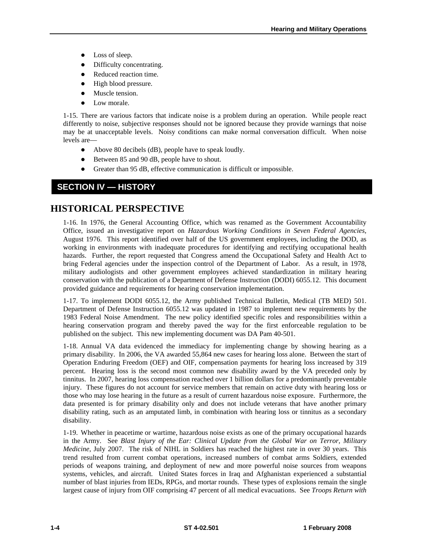- <span id="page-9-0"></span>• Loss of sleep.
- Difficulty concentrating.
- Reduced reaction time.
- High blood pressure.
- Muscle tension.
- Low morale.

1-15. There are various factors that indicate noise is a problem during an operation. While people react differently to noise, subjective responses should not be ignored because they provide warnings that noise may be at unacceptable levels. Noisy conditions can make normal conversation difficult. When noise levels are—

- $\bullet$  Above 80 decibels (dB), people have to speak loudly.
- Between 85 and 90 dB, people have to shout.
- Greater than 95 dB, effective communication is difficult or impossible.

### **SECTION IV — HISTORY**

### **HISTORICAL PERSPECTIVE**

1-16. In 1976, the General Accounting Office, which was renamed as the Government Accountability Office, issued an investigative report on *Hazardous Working Conditions in Seven Federal Agencies,*  August 1976. This report identified over half of the US government employees, including the DOD, as working in environments with inadequate procedures for identifying and rectifying occupational health hazards. Further, the report requested that Congress amend the Occupational Safety and Health Act to bring Federal agencies under the inspection control of the Department of Labor. As a result, in 1978, military audiologists and other government employees achieved standardization in military hearing conservation with the publication of a Department of Defense Instruction (DODI) 6055.12. This document provided guidance and requirements for hearing conservation implementation.

1-17. To implement DODI 6055.12, the Army published Technical Bulletin, Medical (TB MED) 501. Department of Defense Instruction 6055.12 was updated in 1987 to implement new requirements by the 1983 Federal Noise Amendment. The new policy identified specific roles and responsibilities within a hearing conservation program and thereby paved the way for the first enforceable regulation to be published on the subject. This new implementing document was DA Pam 40-501.

1-18. Annual VA data evidenced the immediacy for implementing change by showing hearing as a primary disability. In 2006, the VA awarded 55,864 new cases for hearing loss alone. Between the start of Operation Enduring Freedom (OEF) and OIF, compensation payments for hearing loss increased by 319 percent. Hearing loss is the second most common new disability award by the VA preceded only by tinnitus. In 2007, hearing loss compensation reached over 1 billion dollars for a predominantly preventable injury. These figures do not account for service members that remain on active duty with hearing loss or those who may lose hearing in the future as a result of current hazardous noise exposure. Furthermore, the data presented is for primary disability only and does not include veterans that have another primary disability rating, such as an amputated limb, in combination with hearing loss or tinnitus as a secondary disability.

1-19. Whether in peacetime or wartime, hazardous noise exists as one of the primary occupational hazards in the Army. See *Blast Injury of the Ear: Clinical Update from the Global War on Terror, Military Medicine*, July 2007. The risk of NIHL in Soldiers has reached the highest rate in over 30 years. This trend resulted from current combat operations, increased numbers of combat arms Soldiers, extended periods of weapons training, and deployment of new and more powerful noise sources from weapons systems, vehicles, and aircraft. United States forces in Iraq and Afghanistan experienced a substantial number of blast injuries from IEDs, RPGs, and mortar rounds. These types of explosions remain the single largest cause of injury from OIF comprising 47 percent of all medical evacuations. See *Troops Return with*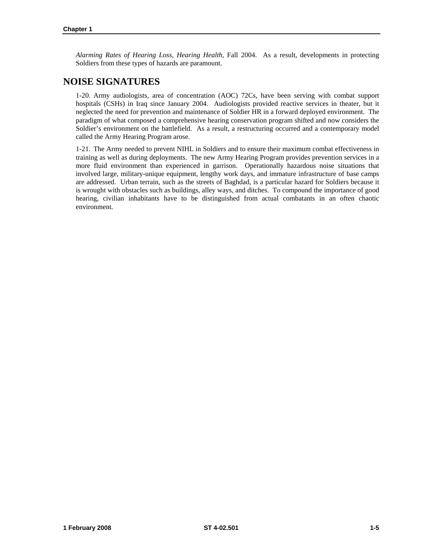*Alarming Rates of Hearing Loss, Hearing Health,* Fall 2004. As a result, developments in protecting Soldiers from these types of hazards are paramount.

### **NOISE SIGNATURES**

1-20. Army audiologists, area of concentration (AOC) 72Cs, have been serving with combat support hospitals (CSHs) in Iraq since January 2004. Audiologists provided reactive services in theater, but it neglected the need for prevention and maintenance of Soldier HR in a forward deployed environment. The paradigm of what composed a comprehensive hearing conservation program shifted and now considers the Soldier's environment on the battlefield. As a result, a restructuring occurred and a contemporary model called the Army Hearing Program arose.

1-21. The Army needed to prevent NIHL in Soldiers and to ensure their maximum combat effectiveness in training as well as during deployments. The new Army Hearing Program provides prevention services in a more fluid environment than experienced in garrison. Operationally hazardous noise situations that involved large, military-unique equipment, lengthy work days, and immature infrastructure of base camps are addressed. Urban terrain, such as the streets of Baghdad, is a particular hazard for Soldiers because it is wrought with obstacles such as buildings, alley ways, and ditches. To compound the importance of good hearing, civilian inhabitants have to be distinguished from actual combatants in an often chaotic environment.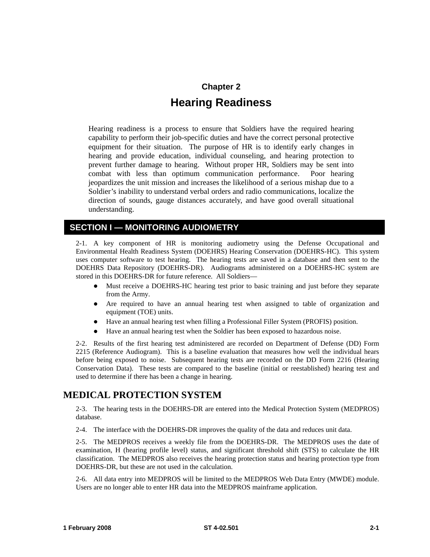## **Chapter 2 Hearing Readiness**

Hearing readiness is a process to ensure that Soldiers have the required hearing capability to perform their job-specific duties and have the correct personal protective equipment for their situation. The purpose of HR is to identify early changes in hearing and provide education, individual counseling, and hearing protection to prevent further damage to hearing. Without proper HR, Soldiers may be sent into combat with less than optimum communication performance. Poor hearing jeopardizes the unit mission and increases the likelihood of a serious mishap due to a Soldier's inability to understand verbal orders and radio communications, localize the direction of sounds, gauge distances accurately, and have good overall situational understanding.

#### **SECTION I — MONITORING AUDIOMETRY**

2-1. A key component of HR is monitoring audiometry using the Defense Occupational and Environmental Health Readiness System (DOEHRS) Hearing Conservation (DOEHRS-HC). This system uses computer software to test hearing. The hearing tests are saved in a database and then sent to the DOEHRS Data Repository (DOEHRS-DR). Audiograms administered on a DOEHRS-HC system are stored in this DOEHRS-DR for future reference. All Soldiers—

- Must receive a DOEHRS-HC hearing test prior to basic training and just before they separate from the Army.
- Are required to have an annual hearing test when assigned to table of organization and equipment (TOE) units.
- Have an annual hearing test when filling a Professional Filler System (PROFIS) position.
- Have an annual hearing test when the Soldier has been exposed to hazardous noise.

2-2. Results of the first hearing test administered are recorded on Department of Defense (DD) Form 2215 (Reference Audiogram). This is a baseline evaluation that measures how well the individual hears before being exposed to noise. Subsequent hearing tests are recorded on the DD Form 2216 (Hearing Conservation Data). These tests are compared to the baseline (initial or reestablished) hearing test and used to determine if there has been a change in hearing.

### **MEDICAL PROTECTION SYSTEM**

2-3. The hearing tests in the DOEHRS-DR are entered into the Medical Protection System (MEDPROS) database.

2-4. The interface with the DOEHRS-DR improves the quality of the data and reduces unit data.

2-5. The MEDPROS receives a weekly file from the DOEHRS-DR. The MEDPROS uses the date of examination, H (hearing profile level) status, and significant threshold shift (STS) to calculate the HR classification. The MEDPROS also receives the hearing protection status and hearing protection type from DOEHRS-DR, but these are not used in the calculation.

2-6. All data entry into MEDPROS will be limited to the MEDPROS Web Data Entry (MWDE) module. Users are no longer able to enter HR data into the MEDPROS mainframe application.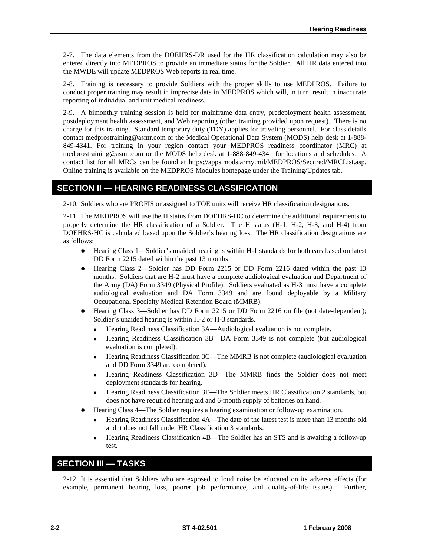<span id="page-13-0"></span>2-7. The data elements from the DOEHRS-DR used for the HR classification calculation may also be entered directly into MEDPROS to provide an immediate status for the Soldier. All HR data entered into the MWDE will update MEDPROS Web reports in real time.

2-8. Training is necessary to provide Soldiers with the proper skills to use MEDPROS. Failure to conduct proper training may result in imprecise data in MEDPROS which will, in turn, result in inaccurate reporting of individual and unit medical readiness.

2-9. A bimonthly training session is held for mainframe data entry, predeployment health assessment, postdeployment health assessment, and Web reporting (other training provided upon request). There is no charge for this training. Standard temporary duty (TDY) applies for traveling personnel. For class details contact [medprostraining@asmr.com](mailto:medprostraining@asmr.com) or the Medical Operational Data System (MODS) help desk at 1-888- 849-4341. For training in your region contact your MEDPROS readiness coordinator (MRC) at [medprostraining@asmr.com](mailto:medprostraining@asmr.com) or the MODS help desk at 1-888-849-4341 for locations and schedules. A contact list for all MRCs can be found at <https://apps.mods.army.mil/MEDPROS/Secured/MRCList.asp>. Online training is available on the MEDPROS Modules homepage under the Training/Updates tab.

#### **SECTION II — HEARING READINESS CLASSIFICATION**

2-10. Soldiers who are PROFIS or assigned to TOE units will receive HR classification designations.

2-11. The MEDPROS will use the H status from DOEHRS-HC to determine the additional requirements to properly determine the HR classification of a Soldier. The H status (H-1, H-2, H-3, and H-4) from DOEHRS-HC is calculated based upon the Soldier's hearing loss. The HR classification designations are as follows:

- Hearing Class 1—Soldier's unaided hearing is within H-1 standards for both ears based on latest DD Form 2215 dated within the past 13 months.
- Hearing Class 2—Soldier has DD Form 2215 or DD Form 2216 dated within the past 13 months. Soldiers that are H-2 must have a complete audiological evaluation and Department of the Army (DA) Form 3349 (Physical Profile). Soldiers evaluated as H-3 must have a complete audiological evaluation and DA Form 3349 and are found deployable by a Military Occupational Specialty Medical Retention Board (MMRB).
- Hearing Class 3—Soldier has DD Form 2215 or DD Form 2216 on file (not date-dependent); Soldier's unaided hearing is within H-2 or H-3 standards.
	- Hearing Readiness Classification 3A—Audiological evaluation is not complete.
	- Hearing Readiness Classification 3B—DA Form 3349 is not complete (but audiological evaluation is completed).
	- Hearing Readiness Classification 3C—The MMRB is not complete (audiological evaluation and DD Form 3349 are completed).
	- Hearing Readiness Classification 3D—The MMRB finds the Soldier does not meet deployment standards for hearing.
	- Hearing Readiness Classification 3E—The Soldier meets HR Classification 2 standards, but does not have required hearing aid and 6-month supply of batteries on hand.
- Hearing Class 4—The Soldier requires a hearing examination or follow-up examination.
	- Hearing Readiness Classification 4A—The date of the latest test is more than 13 months old and it does not fall under HR Classification 3 standards.
	- Hearing Readiness Classification 4B—The Soldier has an STS and is awaiting a follow-up test.

#### **SECTION III — TASKS**

2-12. It is essential that Soldiers who are exposed to loud noise be educated on its adverse effects (for example, permanent hearing loss, poorer job performance, and quality-of-life issues). Further,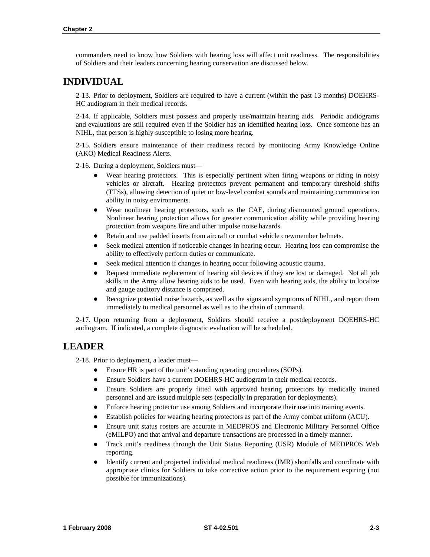commanders need to know how Soldiers with hearing loss will affect unit readiness. The responsibilities of Soldiers and their leaders concerning hearing conservation are discussed below.

### **INDIVIDUAL**

2-13. Prior to deployment, Soldiers are required to have a current (within the past 13 months) DOEHRS-HC audiogram in their medical records.

2-14. If applicable, Soldiers must possess and properly use/maintain hearing aids. Periodic audiograms and evaluations are still required even if the Soldier has an identified hearing loss. Once someone has an NIHL, that person is highly susceptible to losing more hearing.

2-15. Soldiers ensure maintenance of their readiness record by monitoring Army Knowledge Online (AKO) Medical Readiness Alerts.

2-16. During a deployment, Soldiers must—

- Wear hearing protectors. This is especially pertinent when firing weapons or riding in noisy vehicles or aircraft. Hearing protectors prevent permanent and temporary threshold shifts (TTSs), allowing detection of quiet or low-level combat sounds and maintaining communication ability in noisy environments.
- Wear nonlinear hearing protectors, such as the CAE, during dismounted ground operations. Nonlinear hearing protection allows for greater communication ability while providing hearing protection from weapons fire and other impulse noise hazards.
- Retain and use padded inserts from aircraft or combat vehicle crewmember helmets.
- Seek medical attention if noticeable changes in hearing occur. Hearing loss can compromise the ability to effectively perform duties or communicate.
- Seek medical attention if changes in hearing occur following acoustic trauma.
- Request immediate replacement of hearing aid devices if they are lost or damaged. Not all job skills in the Army allow hearing aids to be used. Even with hearing aids, the ability to localize and gauge auditory distance is comprised.
- Recognize potential noise hazards, as well as the signs and symptoms of NIHL, and report them immediately to medical personnel as well as to the chain of command.

2-17. Upon returning from a deployment, Soldiers should receive a postdeployment DOEHRS-HC audiogram. If indicated, a complete diagnostic evaluation will be scheduled.

#### **LEADER**

2-18. Prior to deployment, a leader must—

- Ensure HR is part of the unit's standing operating procedures (SOPs).
- Ensure Soldiers have a current DOEHRS-HC audiogram in their medical records.
- Ensure Soldiers are properly fitted with approved hearing protectors by medically trained personnel and are issued multiple sets (especially in preparation for deployments).
- Enforce hearing protector use among Soldiers and incorporate their use into training events.
- Establish policies for wearing hearing protectors as part of the Army combat uniform (ACU).
- z Ensure unit status rosters are accurate in MEDPROS and Electronic Military Personnel Office (eMILPO) and that arrival and departure transactions are processed in a timely manner.
- z Track unit's readiness through the Unit Status Reporting (USR) Module of MEDPROS Web reporting.
- Identify current and projected individual medical readiness (IMR) shortfalls and coordinate with appropriate clinics for Soldiers to take corrective action prior to the requirement expiring (not possible for immunizations).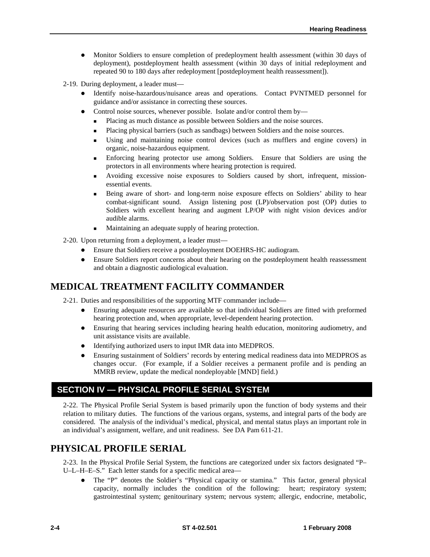- Monitor Soldiers to ensure completion of predeployment health assessment (within 30 days of deployment), postdeployment health assessment (within 30 days of initial redeployment and repeated 90 to 180 days after redeployment [postdeployment health reassessment]).
- 2-19. During deployment, a leader must—
	- Identify noise-hazardous/nuisance areas and operations. Contact PVNTMED personnel for guidance and/or assistance in correcting these sources.
	- Control noise sources, whenever possible. Isolate and/or control them by—
		- **Placing as much distance as possible between Soldiers and the noise sources.**
		- Placing physical barriers (such as sandbags) between Soldiers and the noise sources.
		- Using and maintaining noise control devices (such as mufflers and engine covers) in organic, noise-hazardous equipment.
		- Enforcing hearing protector use among Soldiers. Ensure that Soldiers are using the protectors in all environments where hearing protection is required.
		- Avoiding excessive noise exposures to Soldiers caused by short, infrequent, missionessential events.
		- Being aware of short- and long-term noise exposure effects on Soldiers' ability to hear combat-significant sound. Assign listening post (LP)/observation post (OP) duties to Soldiers with excellent hearing and augment LP/OP with night vision devices and/or audible alarms.
		- Maintaining an adequate supply of hearing protection.
- 2-20. Upon returning from a deployment, a leader must—
	- Ensure that Soldiers receive a postdeployment DOEHRS-HC audiogram.
	- Ensure Soldiers report concerns about their hearing on the postdeployment health reassessment and obtain a diagnostic audiological evaluation.

### **MEDICAL TREATMENT FACILITY COMMANDER**

2-21. Duties and responsibilities of the supporting MTF commander include—

- z Ensuring adequate resources are available so that individual Soldiers are fitted with preformed hearing protection and, when appropriate, level-dependent hearing protection.
- Ensuring that hearing services including hearing health education, monitoring audiometry, and unit assistance visits are available.
- Identifying authorized users to input IMR data into MEDPROS.
- z Ensuring sustainment of Soldiers' records by entering medical readiness data into MEDPROS as changes occur. (For example, if a Soldier receives a permanent profile and is pending an MMRB review, update the medical nondeployable [MND] field.)

#### **SECTION IV — PHYSICAL PROFILE SERIAL SYSTEM**

2-22. The Physical Profile Serial System is based primarily upon the function of body systems and their relation to military duties. The functions of the various organs, systems, and integral parts of the body are considered. The analysis of the individual's medical, physical, and mental status plays an important role in an individual's assignment, welfare, and unit readiness. See DA Pam 611-21.

#### **PHYSICAL PROFILE SERIAL**

2-23. In the Physical Profile Serial System, the functions are categorized under six factors designated "P– U–L–H–E–S." Each letter stands for a specific medical area—

• The "P" denotes the Soldier's "Physical capacity or stamina." This factor, general physical capacity, normally includes the condition of the following: heart; respiratory system; gastrointestinal system; genitourinary system; nervous system; allergic, endocrine, metabolic,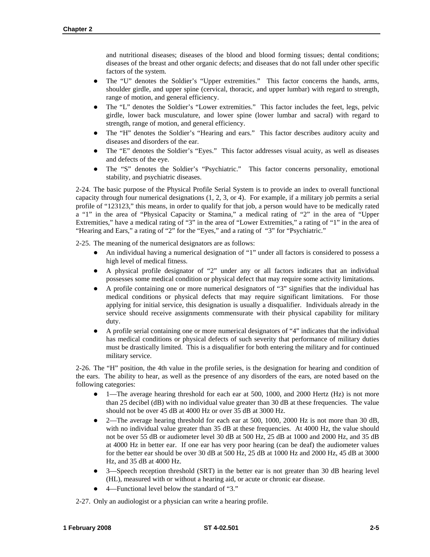and nutritional diseases; diseases of the blood and blood forming tissues; dental conditions; diseases of the breast and other organic defects; and diseases that do not fall under other specific factors of the system.

- The "U" denotes the Soldier's "Upper extremities." This factor concerns the hands, arms, shoulder girdle, and upper spine (cervical, thoracic, and upper lumbar) with regard to strength, range of motion, and general efficiency.
- z The "L" denotes the Soldier's "Lower extremities." This factor includes the feet, legs, pelvic girdle, lower back musculature, and lower spine (lower lumbar and sacral) with regard to strength, range of motion, and general efficiency.
- The "H" denotes the Soldier's "Hearing and ears." This factor describes auditory acuity and diseases and disorders of the ear.
- z The "E" denotes the Soldier's "Eyes." This factor addresses visual acuity, as well as diseases and defects of the eye.
- The "S" denotes the Soldier's "Psychiatric." This factor concerns personality, emotional stability, and psychiatric diseases.

2-24. The basic purpose of the Physical Profile Serial System is to provide an index to overall functional capacity through four numerical designations (1, 2, 3, or 4). For example, if a military job permits a serial profile of "123123," this means, in order to qualify for that job, a person would have to be medically rated a "1" in the area of "Physical Capacity or Stamina," a medical rating of "2" in the area of "Upper Extremities," have a medical rating of "3" in the area of "Lower Extremities," a rating of "1" in the area of "Hearing and Ears," a rating of "2" for the "Eyes," and a rating of "3" for "Psychiatric."

2-25. The meaning of the numerical designators are as follows:

- An individual having a numerical designation of "1" under all factors is considered to possess a high level of medical fitness.
- z A physical profile designator of "2" under any or all factors indicates that an individual possesses some medical condition or physical defect that may require some activity limitations.
- A profile containing one or more numerical designators of "3" signifies that the individual has medical conditions or physical defects that may require significant limitations. For those applying for initial service, this designation is usually a disqualifier. Individuals already in the service should receive assignments commensurate with their physical capability for military duty.
- A profile serial containing one or more numerical designators of "4" indicates that the individual has medical conditions or physical defects of such severity that performance of military duties must be drastically limited. This is a disqualifier for both entering the military and for continued military service.

2-26. The "H" position, the 4th value in the profile series, is the designation for hearing and condition of the ears. The ability to hear, as well as the presence of any disorders of the ears, are noted based on the following categories:

- 1—The average hearing threshold for each ear at 500, 1000, and 2000 Hertz (Hz) is not more than 25 decibel (dB) with no individual value greater than 30 dB at these frequencies. The value should not be over 45 dB at 4000 Hz or over 35 dB at 3000 Hz.
- 2—The average hearing threshold for each ear at 500, 1000, 2000 Hz is not more than 30 dB, with no individual value greater than 35 dB at these frequencies. At 4000 Hz, the value should not be over 55 dB or audiometer level 30 dB at 500 Hz, 25 dB at 1000 and 2000 Hz, and 35 dB at 4000 Hz in better ear. If one ear has very poor hearing (can be deaf) the audiometer values for the better ear should be over 30 dB at 500 Hz, 25 dB at 1000 Hz and 2000 Hz, 45 dB at 3000 Hz, and 35 dB at 4000 Hz.
- 3—Speech reception threshold (SRT) in the better ear is not greater than 30 dB hearing level (HL), measured with or without a hearing aid, or acute or chronic ear disease.
- 4—Functional level below the standard of "3."

2-27. Only an audiologist or a physician can write a hearing profile.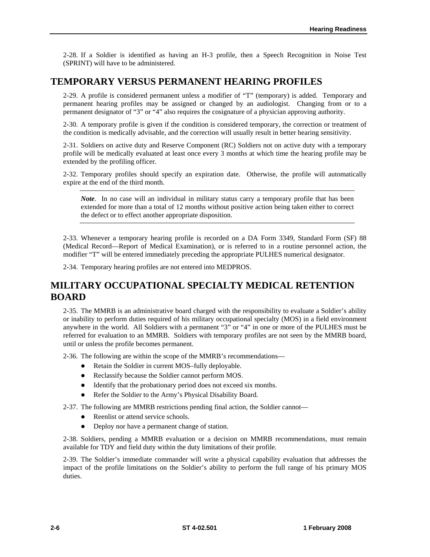2-28. If a Soldier is identified as having an H-3 profile, then a Speech Recognition in Noise Test (SPRINT) will have to be administered.

### **TEMPORARY VERSUS PERMANENT HEARING PROFILES**

2-29. A profile is considered permanent unless a modifier of "T" (temporary) is added. Temporary and permanent hearing profiles may be assigned or changed by an audiologist. Changing from or to a permanent designator of "3" or "4" also requires the cosignature of a physician approving authority.

2-30. A temporary profile is given if the condition is considered temporary, the correction or treatment of the condition is medically advisable, and the correction will usually result in better hearing sensitivity.

2-31. Soldiers on active duty and Reserve Component (RC) Soldiers not on active duty with a temporary profile will be medically evaluated at least once every 3 months at which time the hearing profile may be extended by the profiling officer.

2-32. Temporary profiles should specify an expiration date. Otherwise, the profile will automatically expire at the end of the third month.

*Note*. In no case will an individual in military status carry a temporary profile that has been extended for more than a total of 12 months without positive action being taken either to correct the defect or to effect another appropriate disposition.

2-33. Whenever a temporary hearing profile is recorded on a DA Form 3349, Standard Form (SF) 88 (Medical Record—Report of Medical Examination), or is referred to in a routine personnel action, the modifier "T" will be entered immediately preceding the appropriate PULHES numerical designator.

2-34. Temporary hearing profiles are not entered into MEDPROS.

### **MILITARY OCCUPATIONAL SPECIALTY MEDICAL RETENTION BOARD**

2-35. The MMRB is an administrative board charged with the responsibility to evaluate a Soldier's ability or inability to perform duties required of his military occupational specialty (MOS) in a field environment anywhere in the world. All Soldiers with a permanent "3" or "4" in one or more of the PULHES must be referred for evaluation to an MMRB. Soldiers with temporary profiles are not seen by the MMRB board, until or unless the profile becomes permanent.

2-36. The following are within the scope of the MMRB's recommendations—

- Retain the Soldier in current MOS–fully deployable.
- Reclassify because the Soldier cannot perform MOS.
- Identify that the probationary period does not exceed six months.
- Refer the Soldier to the Army's Physical Disability Board.
- 2-37. The following are MMRB restrictions pending final action, the Soldier cannot—
	- Reenlist or attend service schools.
	- Deploy nor have a permanent change of station.

2-38. Soldiers, pending a MMRB evaluation or a decision on MMRB recommendations, must remain available for TDY and field duty within the duty limitations of their profile.

2-39. The Soldier's immediate commander will write a physical capability evaluation that addresses the impact of the profile limitations on the Soldier's ability to perform the full range of his primary MOS duties.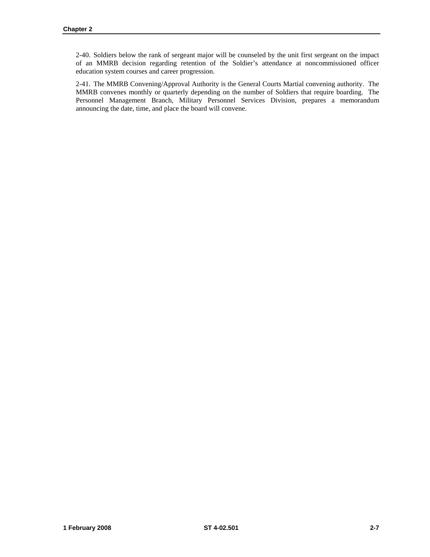2-40. Soldiers below the rank of sergeant major will be counseled by the unit first sergeant on the impact of an MMRB decision regarding retention of the Soldier's attendance at noncommissioned officer education system courses and career progression.

2-41. The MMRB Convening/Approval Authority is the General Courts Martial convening authority. The MMRB convenes monthly or quarterly depending on the number of Soldiers that require boarding. The Personnel Management Branch, Military Personnel Services Division, prepares a memorandum announcing the date, time, and place the board will convene.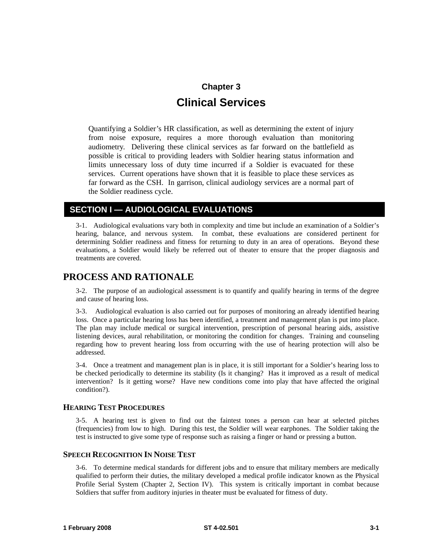## **Chapter 3 Clinical Services**

Quantifying a Soldier's HR classification, as well as determining the extent of injury from noise exposure, requires a more thorough evaluation than monitoring audiometry. Delivering these clinical services as far forward on the battlefield as possible is critical to providing leaders with Soldier hearing status information and limits unnecessary loss of duty time incurred if a Soldier is evacuated for these services. Current operations have shown that it is feasible to place these services as far forward as the CSH. In garrison, clinical audiology services are a normal part of the Soldier readiness cycle.

#### **SECTION I — AUDIOLOGICAL EVALUATIONS**

3-1. Audiological evaluations vary both in complexity and time but include an examination of a Soldier's hearing, balance, and nervous system. In combat, these evaluations are considered pertinent for determining Soldier readiness and fitness for returning to duty in an area of operations. Beyond these evaluations, a Soldier would likely be referred out of theater to ensure that the proper diagnosis and treatments are covered.

#### **PROCESS AND RATIONALE**

3-2. The purpose of an audiological assessment is to quantify and qualify hearing in terms of the degree and cause of hearing loss.

3-3. Audiological evaluation is also carried out for purposes of monitoring an already identified hearing loss. Once a particular hearing loss has been identified, a treatment and management plan is put into place. The plan may include medical or surgical intervention, prescription of personal hearing aids, assistive listening devices, aural rehabilitation, or monitoring the condition for changes. Training and counseling regarding how to prevent hearing loss from occurring with the use of hearing protection will also be addressed.

3-4. Once a treatment and management plan is in place, it is still important for a Soldier's hearing loss to be checked periodically to determine its stability (Is it changing? Has it improved as a result of medical intervention? Is it getting worse? Have new conditions come into play that have affected the original condition?).

#### **HEARING TEST PROCEDURES**

3-5. A hearing test is given to find out the faintest tones a person can hear at selected pitches (frequencies) from low to high. During this test, the Soldier will wear earphones. The Soldier taking the test is instructed to give some type of response such as raising a finger or hand or pressing a button.

#### **SPEECH RECOGNITION IN NOISE TEST**

3-6. To determine medical standards for different jobs and to ensure that military members are medically qualified to perform their duties, the military developed a medical profile indicator known as the Physical Profile Serial System (Chapter 2, Section IV). This system is critically important in combat because Soldiers that suffer from auditory injuries in theater must be evaluated for fitness of duty.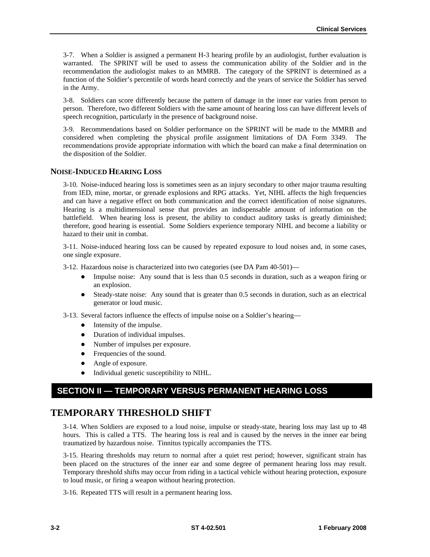3-7. When a Soldier is assigned a permanent H-3 hearing profile by an audiologist, further evaluation is warranted. The SPRINT will be used to assess the communication ability of the Soldier and in the recommendation the audiologist makes to an MMRB. The category of the SPRINT is determined as a function of the Soldier's percentile of words heard correctly and the years of service the Soldier has served in the Army.

3-8. Soldiers can score differently because the pattern of damage in the inner ear varies from person to person. Therefore, two different Soldiers with the same amount of hearing loss can have different levels of speech recognition, particularly in the presence of background noise.

3-9. Recommendations based on Soldier performance on the SPRINT will be made to the MMRB and considered when completing the physical profile assignment limitations of DA Form 3349. The recommendations provide appropriate information with which the board can make a final determination on the disposition of the Soldier.

#### **NOISE-INDUCED HEARING LOSS**

3-10. Noise-induced hearing loss is sometimes seen as an injury secondary to other major trauma resulting from IED, mine, mortar, or grenade explosions and RPG attacks. Yet, NIHL affects the high frequencies and can have a negative effect on both communication and the correct identification of noise signatures. Hearing is a multidimensional sense that provides an indispensable amount of information on the battlefield. When hearing loss is present, the ability to conduct auditory tasks is greatly diminished; therefore, good hearing is essential. Some Soldiers experience temporary NIHL and become a liability or hazard to their unit in combat.

3-11. Noise-induced hearing loss can be caused by repeated exposure to loud noises and, in some cases, one single exposure.

3-12. Hazardous noise is characterized into two categories (see DA Pam 40-501)—

- Impulse noise: Any sound that is less than 0.5 seconds in duration, such as a weapon firing or an explosion.
- $\bullet$  Steady-state noise: Any sound that is greater than 0.5 seconds in duration, such as an electrical generator or loud music.
- 3-13. Several factors influence the effects of impulse noise on a Soldier's hearing—
	- $\bullet$  Intensity of the impulse.
	- Duration of individual impulses.
	- Number of impulses per exposure.
	- Frequencies of the sound.
	- Angle of exposure.
	- Individual genetic susceptibility to NIHL.

#### **SECTION II — TEMPORARY VERSUS PERMANENT HEARING LOSS**

#### **TEMPORARY THRESHOLD SHIFT**

3-14. When Soldiers are exposed to a loud noise, impulse or steady-state, hearing loss may last up to 48 hours. This is called a TTS. The hearing loss is real and is caused by the nerves in the inner ear being traumatized by hazardous noise. Tinnitus typically accompanies the TTS.

3-15. Hearing thresholds may return to normal after a quiet rest period; however, significant strain has been placed on the structures of the inner ear and some degree of permanent hearing loss may result. Temporary threshold shifts may occur from riding in a tactical vehicle without hearing protection, exposure to loud music, or firing a weapon without hearing protection.

3-16. Repeated TTS will result in a permanent hearing loss.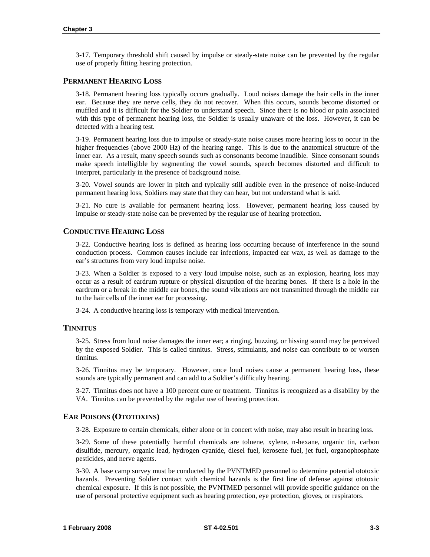3-17. Temporary threshold shift caused by impulse or steady-state noise can be prevented by the regular use of properly fitting hearing protection.

#### **PERMANENT HEARING LOSS**

3-18. Permanent hearing loss typically occurs gradually. Loud noises damage the hair cells in the inner ear. Because they are nerve cells, they do not recover. When this occurs, sounds become distorted or muffled and it is difficult for the Soldier to understand speech. Since there is no blood or pain associated with this type of permanent hearing loss, the Soldier is usually unaware of the loss. However, it can be detected with a hearing test.

3-19. Permanent hearing loss due to impulse or steady-state noise causes more hearing loss to occur in the higher frequencies (above 2000 Hz) of the hearing range. This is due to the anatomical structure of the inner ear. As a result, many speech sounds such as consonants become inaudible. Since consonant sounds make speech intelligible by segmenting the vowel sounds, speech becomes distorted and difficult to interpret, particularly in the presence of background noise.

3-20. Vowel sounds are lower in pitch and typically still audible even in the presence of noise-induced permanent hearing loss, Soldiers may state that they can hear, but not understand what is said.

3-21. No cure is available for permanent hearing loss. However, permanent hearing loss caused by impulse or steady-state noise can be prevented by the regular use of hearing protection.

#### **CONDUCTIVE HEARING LOSS**

3-22. Conductive hearing loss is defined as hearing loss occurring because of interference in the sound conduction process. Common causes include ear infections, impacted ear wax, as well as damage to the ear's structures from very loud impulse noise.

3-23. When a Soldier is exposed to a very loud impulse noise, such as an explosion, hearing loss may occur as a result of eardrum rupture or physical disruption of the hearing bones. If there is a hole in the eardrum or a break in the middle ear bones, the sound vibrations are not transmitted through the middle ear to the hair cells of the inner ear for processing.

3-24. A conductive hearing loss is temporary with medical intervention.

#### **TINNITUS**

3-25. Stress from loud noise damages the inner ear; a ringing, buzzing, or hissing sound may be perceived by the exposed Soldier. This is called tinnitus. Stress, stimulants, and noise can contribute to or worsen tinnitus.

3-26. Tinnitus may be temporary. However, once loud noises cause a permanent hearing loss, these sounds are typically permanent and can add to a Soldier's difficulty hearing.

3-27. Tinnitus does not have a 100 percent cure or treatment. Tinnitus is recognized as a disability by the VA. Tinnitus can be prevented by the regular use of hearing protection.

#### **EAR POISONS (OTOTOXINS)**

3-28. Exposure to certain chemicals, either alone or in concert with noise, may also result in hearing loss.

3-29. Some of these potentially harmful chemicals are toluene, xylene, n-hexane, organic tin, carbon disulfide, mercury, organic lead, hydrogen cyanide, diesel fuel, kerosene fuel, jet fuel, organophosphate pesticides, and nerve agents.

3-30. A base camp survey must be conducted by the PVNTMED personnel to determine potential ototoxic hazards. Preventing Soldier contact with chemical hazards is the first line of defense against ototoxic chemical exposure. If this is not possible, the PVNTMED personnel will provide specific guidance on the use of personal protective equipment such as hearing protection, eye protection, gloves, or respirators.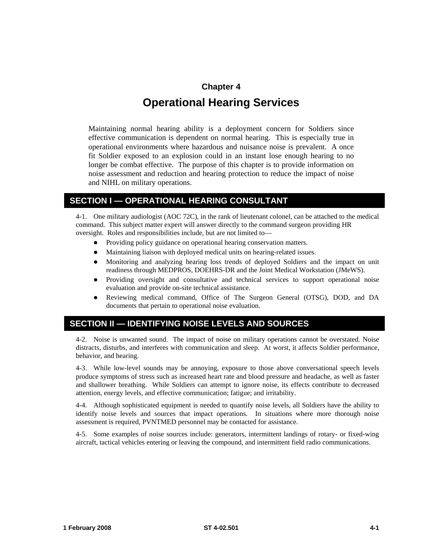## **Chapter 4 Operational Hearing Services**

Maintaining normal hearing ability is a deployment concern for Soldiers since effective communication is dependent on normal hearing. This is especially true in operational environments where hazardous and nuisance noise is prevalent. A once fit Soldier exposed to an explosion could in an instant lose enough hearing to no longer be combat effective. The purpose of this chapter is to provide information on noise assessment and reduction and hearing protection to reduce the impact of noise and NIHL on military operations.

#### **SECTION I — OPERATIONAL HEARING CONSULTANT**

4-1. One military audiologist (AOC 72C), in the rank of lieutenant colonel, can be attached to the medical command. This subject matter expert will answer directly to the command surgeon providing HR oversight. Roles and responsibilities include, but are not limited to—

- Providing policy guidance on operational hearing conservation matters.
- Maintaining liaison with deployed medical units on hearing-related issues.
- Monitoring and analyzing hearing loss trends of deployed Soldiers and the impact on unit readiness through MEDPROS, DOEHRS-DR and the Joint Medical Workstation (JMeWS).
- Providing oversight and consultative and technical services to support operational noise evaluation and provide on-site technical assistance.
- Reviewing medical command, Office of The Surgeon General (OTSG), DOD, and DA documents that pertain to operational noise evaluation.

#### **SECTION II — IDENTIFYING NOISE LEVELS AND SOURCES**

4-2. Noise is unwanted sound. The impact of noise on military operations cannot be overstated. Noise distracts, disturbs, and interferes with communication and sleep. At worst, it affects Soldier performance, behavior, and hearing.

4-3. While low-level sounds may be annoying, exposure to those above conversational speech levels produce symptoms of stress such as increased heart rate and blood pressure and headache, as well as faster and shallower breathing. While Soldiers can attempt to ignore noise, its effects contribute to decreased attention, energy levels, and effective communication; fatigue; and irritability.

4-4. Although sophisticated equipment is needed to quantify noise levels, all Soldiers have the ability to identify noise levels and sources that impact operations. In situations where more thorough noise assessment is required, PVNTMED personnel may be contacted for assistance.

4-5. Some examples of noise sources include: generators, intermittent landings of rotary- or fixed-wing aircraft, tactical vehicles entering or leaving the compound, and intermittent field radio communications.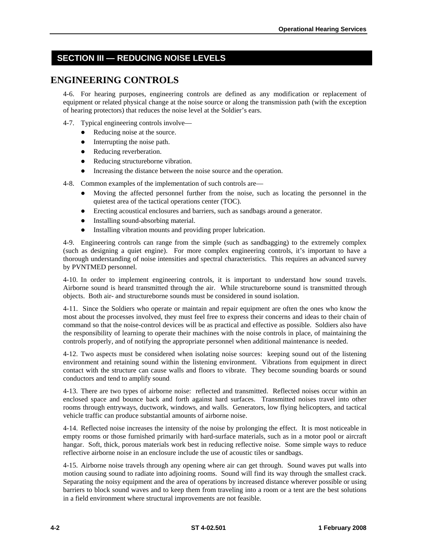### **SECTION III — REDUCING NOISE LEVELS**

### **ENGINEERING CONTROLS**

4-6. For hearing purposes, engineering controls are defined as any modification or replacement of equipment or related physical change at the noise source or along the transmission path (with the exception of hearing protectors) that reduces the noise level at the Soldier's ears.

- 4-7. Typical engineering controls involve—
	- Reducing noise at the source.
	- $\bullet$  Interrupting the noise path.
	- Reducing reverberation.
	- Reducing structureborne vibration.
	- Increasing the distance between the noise source and the operation.

4-8. Common examples of the implementation of such controls are—

- Moving the affected personnel further from the noise, such as locating the personnel in the quietest area of the tactical operations center (TOC).
- Erecting acoustical enclosures and barriers, such as sandbags around a generator.
- Installing sound-absorbing material.
- Installing vibration mounts and providing proper lubrication.

4-9. Engineering controls can range from the simple (such as sandbagging) to the extremely complex (such as designing a quiet engine). For more complex engineering controls, it's important to have a thorough understanding of noise intensities and spectral characteristics. This requires an advanced survey by PVNTMED personnel.

4-10. In order to implement engineering controls, it is important to understand how sound travels. Airborne sound is heard transmitted through the air. While structureborne sound is transmitted through objects. Both air- and structureborne sounds must be considered in sound isolation.

4-11. Since the Soldiers who operate or maintain and repair equipment are often the ones who know the most about the processes involved, they must feel free to express their concerns and ideas to their chain of command so that the noise-control devices will be as practical and effective as possible. Soldiers also have the responsibility of learning to operate their machines with the noise controls in place, of maintaining the controls properly, and of notifying the appropriate personnel when additional maintenance is needed.

4-12. Two aspects must be considered when isolating noise sources: keeping sound out of the listening environment and retaining sound within the listening environment. Vibrations from equipment in direct contact with the structure can cause walls and floors to vibrate. They become sounding boards or sound conductors and tend to amplify sound.

4-13. There are two types of airborne noise: reflected and transmitted. Reflected noises occur within an enclosed space and bounce back and forth against hard surfaces. Transmitted noises travel into other rooms through entryways, ductwork, windows, and walls. Generators, low flying helicopters, and tactical vehicle traffic can produce substantial amounts of airborne noise.

4-14. Reflected noise increases the intensity of the noise by prolonging the effect. It is most noticeable in empty rooms or those furnished primarily with hard-surface materials, such as in a motor pool or aircraft hangar. Soft, thick, porous materials work best in reducing reflective noise. Some simple ways to reduce reflective airborne noise in an enclosure include the use of acoustic tiles or sandbags.

4-15. Airborne noise travels through any opening where air can get through. Sound waves put walls into motion causing sound to radiate into adjoining rooms. Sound will find its way through the smallest crack. Separating the noisy equipment and the area of operations by increased distance wherever possible or using barriers to block sound waves and to keep them from traveling into a room or a tent are the best solutions in a field environment where structural improvements are not feasible.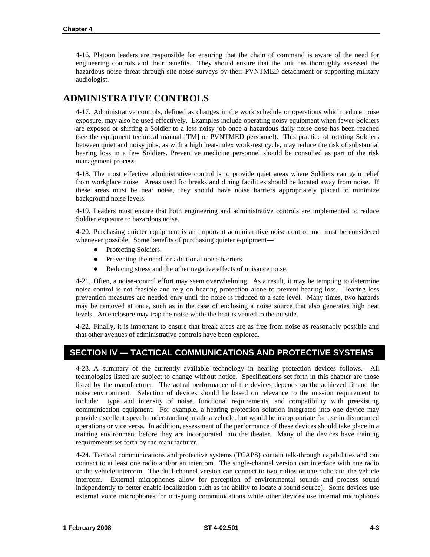<span id="page-26-0"></span>4-16. Platoon leaders are responsible for ensuring that the chain of command is aware of the need for engineering controls and their benefits. They should ensure that the unit has thoroughly assessed the hazardous noise threat through site noise surveys by their PVNTMED detachment or supporting military audiologist.

### **ADMINISTRATIVE CONTROLS**

4-17. Administrative controls, defined as changes in the work schedule or operations which reduce noise exposure, may also be used effectively. Examples include operating noisy equipment when fewer Soldiers are exposed or shifting a Soldier to a less noisy job once a hazardous daily noise dose has been reached (see the equipment technical manual [TM] or PVNTMED personnel). This practice of rotating Soldiers between quiet and noisy jobs, as with a high heat-index work-rest cycle, may reduce the risk of substantial hearing loss in a few Soldiers. Preventive medicine personnel should be consulted as part of the risk management process.

4-18. The most effective administrative control is to provide quiet areas where Soldiers can gain relief from workplace noise. Areas used for breaks and dining facilities should be located away from noise. If these areas must be near noise, they should have noise barriers appropriately placed to minimize background noise levels.

4-19. Leaders must ensure that both engineering and administrative controls are implemented to reduce Soldier exposure to hazardous noise.

4-20. Purchasing quieter equipment is an important administrative noise control and must be considered whenever possible. Some benefits of purchasing quieter equipment—

- Protecting Soldiers.
- Preventing the need for additional noise barriers.
- Reducing stress and the other negative effects of nuisance noise.

4-21. Often, a noise-control effort may seem overwhelming. As a result, it may be tempting to determine noise control is not feasible and rely on hearing protection alone to prevent hearing loss. Hearing loss prevention measures are needed only until the noise is reduced to a safe level. Many times, two hazards may be removed at once, such as in the case of enclosing a noise source that also generates high heat levels. An enclosure may trap the noise while the heat is vented to the outside.

4-22. Finally, it is important to ensure that break areas are as free from noise as reasonably possible and that other avenues of administrative controls have been explored.

#### **SECTION IV — TACTICAL COMMUNICATIONS AND PROTECTIVE SYSTEMS**

4-23. A summary of the currently available technology in hearing protection devices follows. All technologies listed are subject to change without notice. Specifications set forth in this chapter are those listed by the manufacturer. The actual performance of the devices depends on the achieved fit and the noise environment. Selection of devices should be based on relevance to the mission requirement to include: type and intensity of noise, functional requirements, and compatibility with preexisting communication equipment. For example, a hearing protection solution integrated into one device may provide excellent speech understanding inside a vehicle, but would be inappropriate for use in dismounted operations or vice versa. In addition, assessment of the performance of these devices should take place in a training environment before they are incorporated into the theater. Many of the devices have training requirements set forth by the manufacturer.

4-24. Tactical communications and protective systems (TCAPS) contain talk-through capabilities and can connect to at least one radio and/or an intercom. The single-channel version can interface with one radio or the vehicle intercom. The dual-channel version can connect to two radios or one radio and the vehicle intercom. External microphones allow for perception of environmental sounds and process sound independently to better enable localization such as the ability to locate a sound source). Some devices use external voice microphones for out-going communications while other devices use internal microphones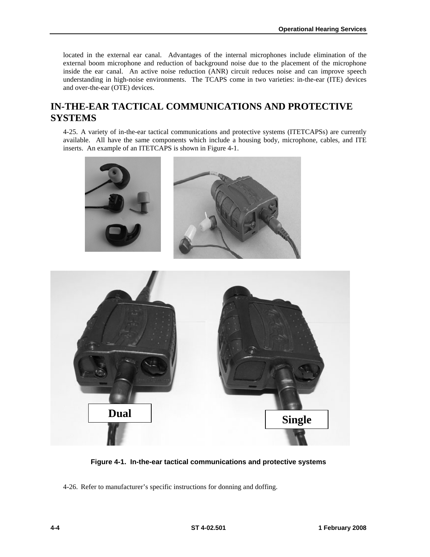<span id="page-27-0"></span>located in the external ear canal. Advantages of the internal microphones include elimination of the external boom microphone and reduction of background noise due to the placement of the microphone inside the ear canal. An active noise reduction (ANR) circuit reduces noise and can improve speech understanding in high-noise environments. The TCAPS come in two varieties: in-the-ear (ITE) devices and over-the-ear (OTE) devices.

### **IN-THE-EAR TACTICAL COMMUNICATIONS AND PROTECTIVE SYSTEMS**

4-25. A variety of in-the-ear tactical communications and protective systems (ITETCAPSs) are currently available. All have the same components which include a housing body, microphone, cables, and ITE inserts. An example of an ITETCAPS is shown in Figure 4-1.



**Figure 4-1. In-the-ear tactical communications and protective systems** 

4-26. Refer to manufacturer's specific instructions for donning and doffing.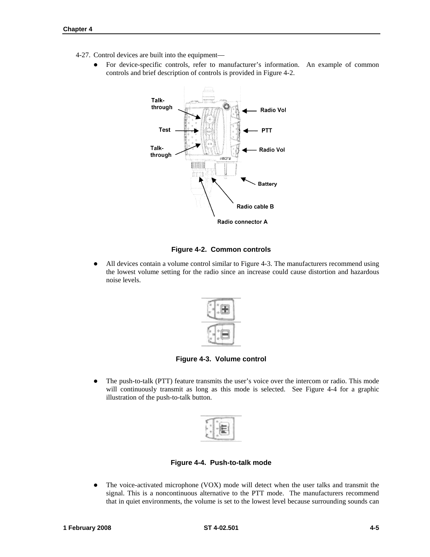- <span id="page-28-0"></span>4-27. Control devices are built into the equipment—
	- For device-specific controls, refer to manufacturer's information. An example of common controls and brief description of controls is provided in Figure 4-2.



#### **Figure 4-2. Common controls**

• All devices contain a volume control similar to Figure 4-3. The manufacturers recommend using the lowest volume setting for the radio since an increase could cause distortion and hazardous noise levels.



**Figure 4-3. Volume control** 

• The push-to-talk (PTT) feature transmits the user's voice over the intercom or radio. This mode will continuously transmit as long as this mode is selected. See Figure 4-4 for a graphic illustration of the push-to-talk button.



**Figure 4-4. Push-to-talk mode** 

• The voice-activated microphone (VOX) mode will detect when the user talks and transmit the signal. This is a noncontinuous alternative to the PTT mode. The manufacturers recommend that in quiet environments, the volume is set to the lowest level because surrounding sounds can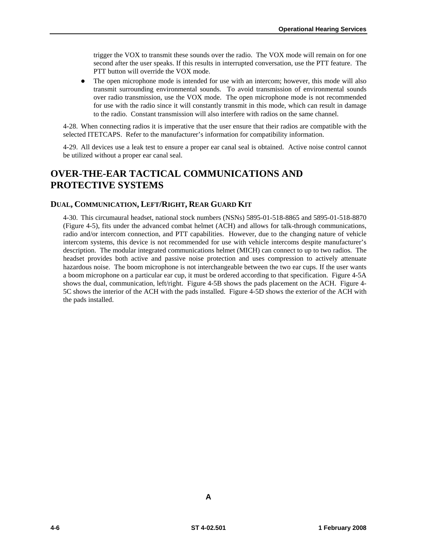trigger the VOX to transmit these sounds over the radio. The VOX mode will remain on for one second after the user speaks. If this results in interrupted conversation, use the PTT feature. The PTT button will override the VOX mode.

The open microphone mode is intended for use with an intercom; however, this mode will also transmit surrounding environmental sounds. To avoid transmission of environmental sounds over radio transmission, use the VOX mode. The open microphone mode is not recommended for use with the radio since it will constantly transmit in this mode, which can result in damage to the radio. Constant transmission will also interfere with radios on the same channel.

4-28. When connecting radios it is imperative that the user ensure that their radios are compatible with the selected ITETCAPS. Refer to the manufacturer's information for compatibility information.

4-29. All devices use a leak test to ensure a proper ear canal seal is obtained. Active noise control cannot be utilized without a proper ear canal seal.

### **OVER-THE-EAR TACTICAL COMMUNICATIONS AND PROTECTIVE SYSTEMS**

#### **DUAL, COMMUNICATION, LEFT/RIGHT, REAR GUARD KIT**

4-30. This circumaural headset, national stock numbers (NSNs) 5895-01-518-8865 and 5895-01-518-8870 (Figure 4-5), fits under the advanced combat helmet (ACH) and allows for talk-through communications, radio and/or intercom connection, and PTT capabilities. However, due to the changing nature of vehicle intercom systems, this device is not recommended for use with vehicle intercoms despite manufacturer's description. The modular integrated communications helmet (MICH) can connect to up to two radios. The headset provides both active and passive noise protection and uses compression to actively attenuate hazardous noise. The boom microphone is not interchangeable between the two ear cups. If the user wants a boom microphone on a particular ear cup, it must be ordered according to that specification. Figure 4-5A shows the dual, communication, left/right. Figure 4-5B shows the pads placement on the ACH. Figure 4- 5C shows the interior of the ACH with the pads installed. Figure 4-5D shows the exterior of the ACH with the pads installed.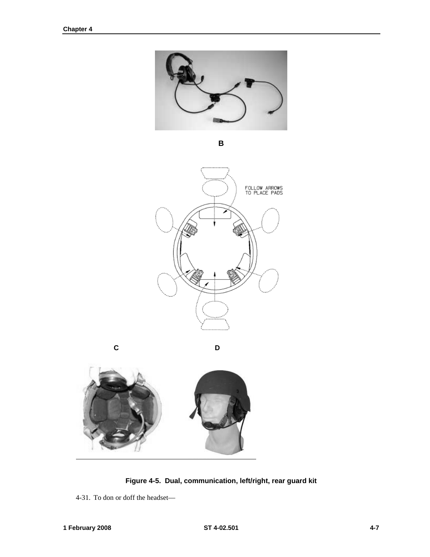<span id="page-30-0"></span>

**B** 



 **C D** 



**Figure 4-5. Dual, communication, left/right, rear guard kit** 

4-31. To don or doff the headset—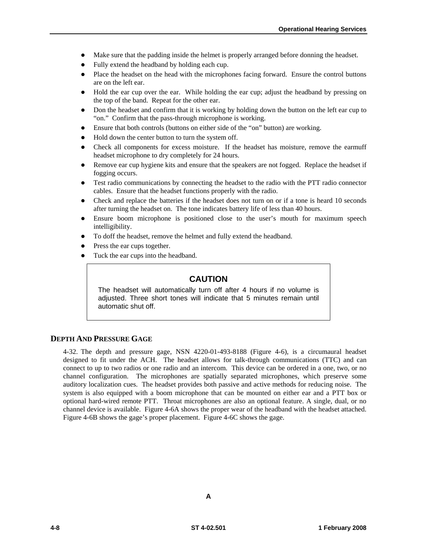- Make sure that the padding inside the helmet is properly arranged before donning the headset.
- $\bullet$  Fully extend the headband by holding each cup.
- Place the headset on the head with the microphones facing forward. Ensure the control buttons are on the left ear.
- Hold the ear cup over the ear. While holding the ear cup; adjust the headband by pressing on the top of the band. Repeat for the other ear.
- Don the headset and confirm that it is working by holding down the button on the left ear cup to "on." Confirm that the pass-through microphone is working.
- Ensure that both controls (buttons on either side of the "on" button) are working.
- Hold down the center button to turn the system off.
- Check all components for excess moisture. If the headset has moisture, remove the earmuff headset microphone to dry completely for 24 hours.
- Remove ear cup hygiene kits and ensure that the speakers are not fogged. Replace the headset if fogging occurs.
- z Test radio communications by connecting the headset to the radio with the PTT radio connector cables. Ensure that the headset functions properly with the radio.
- Check and replace the batteries if the headset does not turn on or if a tone is heard 10 seconds after turning the headset on. The tone indicates battery life of less than 40 hours.
- Ensure boom microphone is positioned close to the user's mouth for maximum speech intelligibility.
- To doff the headset, remove the helmet and fully extend the headband.
- Press the ear cups together.
- Tuck the ear cups into the headband.

#### **CAUTION**

The headset will automatically turn off after 4 hours if no volume is adjusted. Three short tones will indicate that 5 minutes remain until automatic shut off.

#### **DEPTH AND PRESSURE GAGE**

4-32. The depth and pressure gage, NSN 4220-01-493-8188 (Figure 4-6), is a circumaural headset designed to fit under the ACH. The headset allows for talk-through communications (TTC) and can connect to up to two radios or one radio and an intercom. This device can be ordered in a one, two, or no channel configuration. The microphones are spatially separated microphones, which preserve some auditory localization cues. The headset provides both passive and active methods for reducing noise. The system is also equipped with a boom microphone that can be mounted on either ear and a PTT box or optional hard-wired remote PTT. Throat microphones are also an optional feature. A single, dual, or no channel device is available. Figure 4-6A shows the proper wear of the headband with the headset attached. Figure 4-6B shows the gage's proper placement. Figure 4-6C shows the gage.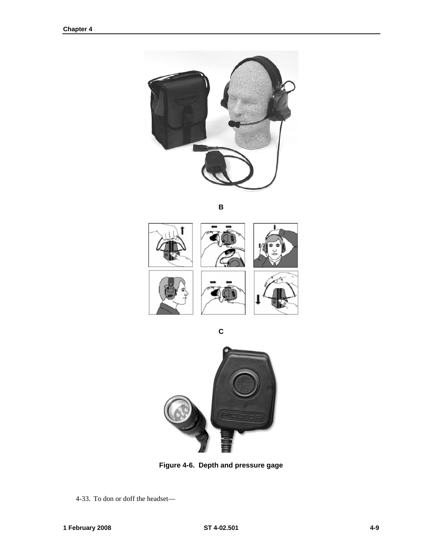<span id="page-32-0"></span>

**B** 



**C**



**Figure 4-6. Depth and pressure gage** 

4-33. To don or doff the headset—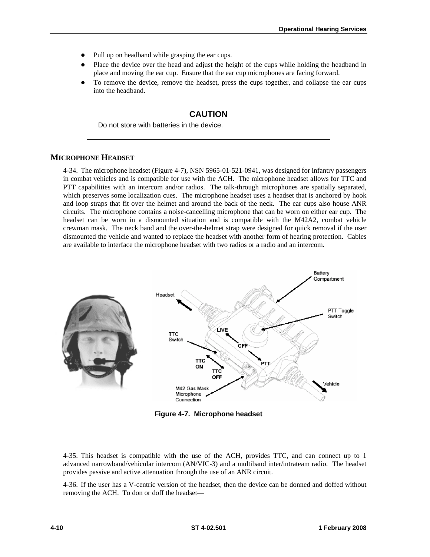- <span id="page-33-0"></span>Pull up on headband while grasping the ear cups.
- Place the device over the head and adjust the height of the cups while holding the headband in place and moving the ear cup. Ensure that the ear cup microphones are facing forward.
- z To remove the device, remove the headset, press the cups together, and collapse the ear cups into the headband.

#### **CAUTION**

Do not store with batteries in the device.

#### **MICROPHONE HEADSET**

4-34. The microphone headset (Figure 4-7), NSN 5965-01-521-0941, was designed for infantry passengers in combat vehicles and is compatible for use with the ACH. The microphone headset allows for TTC and PTT capabilities with an intercom and/or radios. The talk-through microphones are spatially separated, which preserves some localization cues. The microphone headset uses a headset that is anchored by hook and loop straps that fit over the helmet and around the back of the neck. The ear cups also house ANR circuits. The microphone contains a noise-cancelling microphone that can be worn on either ear cup. The headset can be worn in a dismounted situation and is compatible with the M42A2, combat vehicle crewman mask. The neck band and the over-the-helmet strap were designed for quick removal if the user dismounted the vehicle and wanted to replace the headset with another form of hearing protection. Cables are available to interface the microphone headset with two radios or a radio and an intercom.



**Figure 4-7. Microphone headset** 

4-35. This headset is compatible with the use of the ACH, provides TTC, and can connect up to 1 advanced narrowband/vehicular intercom (AN/VIC-3) and a multiband inter/intrateam radio. The headset provides passive and active attenuation through the use of an ANR circuit.

4-36. If the user has a V-centric version of the headset, then the device can be donned and doffed without removing the ACH. To don or doff the headset—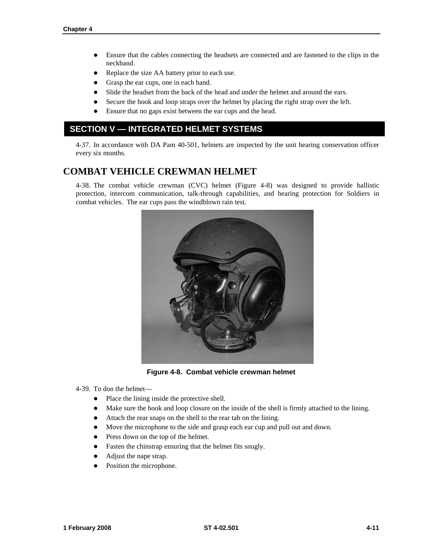- <span id="page-34-0"></span>• Ensure that the cables connecting the headsets are connected and are fastened to the clips in the neckband.
- Replace the size AA battery prior to each use.
- Grasp the ear cups, one in each hand.
- Slide the headset from the back of the head and under the helmet and around the ears.
- Secure the hook and loop straps over the helmet by placing the right strap over the left.
- Ensure that no gaps exist between the ear cups and the head.

### **SECTION V — INTEGRATED HELMET SYSTEMS**

4-37. In accordance with DA Pam 40-501, helmets are inspected by the unit hearing conservation officer every six months.

### **COMBAT VEHICLE CREWMAN HELMET**

4-38. The combat vehicle crewman (CVC) helmet (Figure 4-8) was designed to provide ballistic protection, intercom communication, talk-through capabilities, and hearing protection for Soldiers in combat vehicles. The ear cups pass the windblown rain test.



**Figure 4-8. Combat vehicle crewman helmet** 

4-39. To don the helmet—

- Place the lining inside the protective shell.
- Make sure the hook and loop closure on the inside of the shell is firmly attached to the lining.
- Attach the rear snaps on the shell to the rear tab on the lining.
- Move the microphone to the side and grasp each ear cup and pull out and down.
- Press down on the top of the helmet.
- Fasten the chinstrap ensuring that the helmet fits snugly.
- Adjust the nape strap.
- Position the microphone.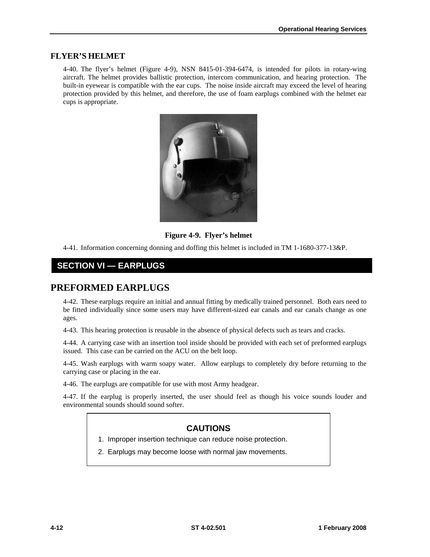#### **FLYER'S HELMET**

4-40. The flyer's helmet (Figure 4-9), NSN 8415-01-394-6474, is intended for pilots in rotary-wing aircraft. The helmet provides ballistic protection, intercom communication, and hearing protection. The built-in eyewear is compatible with the ear cups. The noise inside aircraft may exceed the level of hearing protection provided by this helmet, and therefore, the use of foam earplugs combined with the helmet ear cups is appropriate.



**Figure 4-9. Flyer's helmet** 

4-41. Information concerning donning and doffing this helmet is included in TM 1-1680-377-13&P.

### **SECTION VI — EARPLUGS**

### **PREFORMED EARPLUGS**

4-42. These earplugs require an initial and annual fitting by medically trained personnel. Both ears need to be fitted individually since some users may have different-sized ear canals and ear canals change as one ages.

4-43. This hearing protection is reusable in the absence of physical defects such as tears and cracks.

4-44. A carrying case with an insertion tool inside should be provided with each set of preformed earplugs issued. This case can be carried on the ACU on the belt loop.

4-45. Wash earplugs with warm soapy water. Allow earplugs to completely dry before returning to the carrying case or placing in the ear.

4-46. The earplugs are compatible for use with most Army headgear.

4-47. If the earplug is properly inserted, the user should feel as though his voice sounds louder and environmental sounds should sound softer.

#### **CAUTIONS**

- 1. Improper insertion technique can reduce noise protection.
- 2. Earplugs may become loose with normal jaw movements.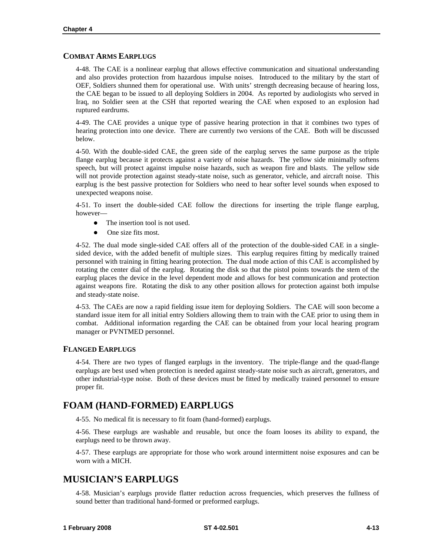#### **COMBAT ARMS EARPLUGS**

4-48. The CAE is a nonlinear earplug that allows effective communication and situational understanding and also provides protection from hazardous impulse noises. Introduced to the military by the start of OEF, Soldiers shunned them for operational use. With units' strength decreasing because of hearing loss, the CAE began to be issued to all deploying Soldiers in 2004. As reported by audiologists who served in Iraq, no Soldier seen at the CSH that reported wearing the CAE when exposed to an explosion had ruptured eardrums.

4-49. The CAE provides a unique type of passive hearing protection in that it combines two types of hearing protection into one device. There are currently two versions of the CAE. Both will be discussed below.

4-50. With the double-sided CAE, the green side of the earplug serves the same purpose as the triple flange earplug because it protects against a variety of noise hazards. The yellow side minimally softens speech, but will protect against impulse noise hazards, such as weapon fire and blasts. The yellow side will not provide protection against steady-state noise, such as generator, vehicle, and aircraft noise. This earplug is the best passive protection for Soldiers who need to hear softer level sounds when exposed to unexpected weapons noise.

4-51. To insert the double-sided CAE follow the directions for inserting the triple flange earplug, however—

- $\bullet$  The insertion tool is not used.
- $\bullet$  One size fits most.

4-52. The dual mode single-sided CAE offers all of the protection of the double-sided CAE in a singlesided device, with the added benefit of multiple sizes. This earplug requires fitting by medically trained personnel with training in fitting hearing protection. The dual mode action of this CAE is accomplished by rotating the center dial of the earplug. Rotating the disk so that the pistol points towards the stem of the earplug places the device in the level dependent mode and allows for best communication and protection against weapons fire. Rotating the disk to any other position allows for protection against both impulse and steady-state noise.

4-53. The CAEs are now a rapid fielding issue item for deploying Soldiers. The CAE will soon become a standard issue item for all initial entry Soldiers allowing them to train with the CAE prior to using them in combat. Additional information regarding the CAE can be obtained from your local hearing program manager or PVNTMED personnel.

#### **FLANGED EARPLUGS**

4-54. There are two types of flanged earplugs in the inventory. The triple-flange and the quad-flange earplugs are best used when protection is needed against steady-state noise such as aircraft, generators, and other industrial-type noise. Both of these devices must be fitted by medically trained personnel to ensure proper fit.

### **FOAM (HAND-FORMED) EARPLUGS**

4-55. No medical fit is necessary to fit foam (hand-formed) earplugs.

4-56. These earplugs are washable and reusable, but once the foam looses its ability to expand, the earplugs need to be thrown away.

4-57. These earplugs are appropriate for those who work around intermittent noise exposures and can be worn with a MICH.

#### **MUSICIAN'S EARPLUGS**

4-58. Musician's earplugs provide flatter reduction across frequencies, which preserves the fullness of sound better than traditional hand-formed or preformed earplugs.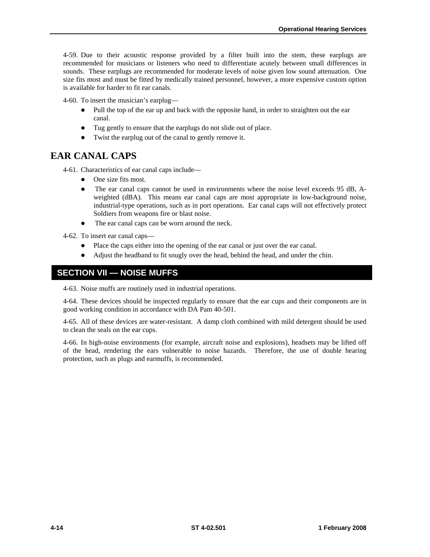<span id="page-37-0"></span>4-59. Due to their acoustic response provided by a filter built into the stem, these earplugs are recommended for musicians or listeners who need to differentiate acutely between small differences in sounds. These earplugs are recommended for moderate levels of noise given low sound attenuation. One size fits most and must be fitted by medically trained personnel, however, a more expensive custom option is available for harder to fit ear canals.

4-60. To insert the musician's earplug—

- Pull the top of the ear up and back with the opposite hand, in order to straighten out the ear canal.
- Tug gently to ensure that the earplugs do not slide out of place.
- Twist the earplug out of the canal to gently remove it.

### **EAR CANAL CAPS**

4-61. Characteristics of ear canal caps include—

- $\bullet$  One size fits most.
- The ear canal caps cannot be used in environments where the noise level exceeds 95 dB, Aweighted (dBA). This means ear canal caps are most appropriate in low-background noise, industrial-type operations, such as in port operations. Ear canal caps will not effectively protect Soldiers from weapons fire or blast noise.
- The ear canal caps can be worn around the neck.

4-62. To insert ear canal caps—

- Place the caps either into the opening of the ear canal or just over the ear canal.
- Adjust the headband to fit snugly over the head, behind the head, and under the chin.

### **SECTION VII — NOISE MUFFS**

4-63. Noise muffs are routinely used in industrial operations.

4-64. These devices should be inspected regularly to ensure that the ear cups and their components are in good working condition in accordance with DA Pam 40-501.

4-65. All of these devices are water-resistant. A damp cloth combined with mild detergent should be used to clean the seals on the ear cups.

4-66. In high-noise environments (for example, aircraft noise and explosions), headsets may be lifted off of the head, rendering the ears vulnerable to noise hazards. Therefore, the use of double hearing protection, such as plugs and earmuffs, is recommended.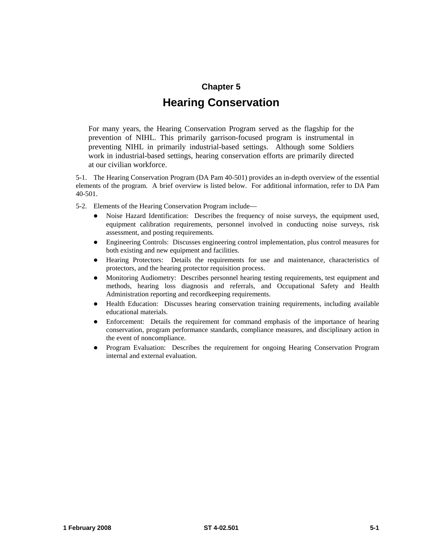#### **Chapter 5**

## **Hearing Conservation**

For many years, the Hearing Conservation Program served as the flagship for the prevention of NIHL. This primarily garrison-focused program is instrumental in preventing NIHL in primarily industrial-based settings. Although some Soldiers work in industrial-based settings, hearing conservation efforts are primarily directed at our civilian workforce.

5-1. The Hearing Conservation Program (DA Pam 40-501) provides an in-depth overview of the essential elements of the program. A brief overview is listed below. For additional information, refer to DA Pam 40-501.

- 5-2. Elements of the Hearing Conservation Program include—
	- Noise Hazard Identification: Describes the frequency of noise surveys, the equipment used, equipment calibration requirements, personnel involved in conducting noise surveys, risk assessment, and posting requirements.
	- z Engineering Controls: Discusses engineering control implementation, plus control measures for both existing and new equipment and facilities.
	- Hearing Protectors: Details the requirements for use and maintenance, characteristics of protectors, and the hearing protector requisition process.
	- Monitoring Audiometry: Describes personnel hearing testing requirements, test equipment and methods, hearing loss diagnosis and referrals, and Occupational Safety and Health Administration reporting and recordkeeping requirements.
	- Health Education: Discusses hearing conservation training requirements, including available educational materials.
	- Enforcement: Details the requirement for command emphasis of the importance of hearing conservation, program performance standards, compliance measures, and disciplinary action in the event of noncompliance.
	- Program Evaluation: Describes the requirement for ongoing Hearing Conservation Program internal and external evaluation.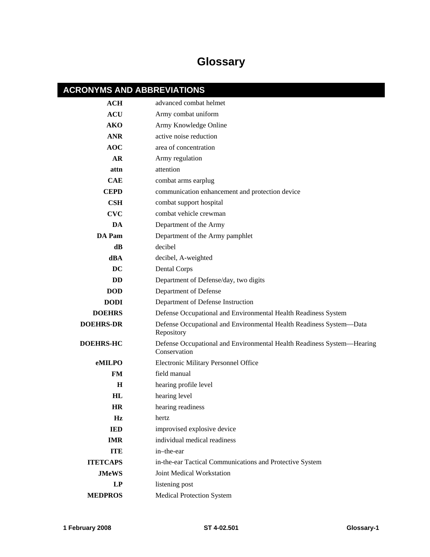# **Glossary**

# **ACRONYMS AND ABBREVIATIONS**

| ACH              | advanced combat helmet                                                                 |
|------------------|----------------------------------------------------------------------------------------|
| <b>ACU</b>       | Army combat uniform                                                                    |
| <b>AKO</b>       | Army Knowledge Online                                                                  |
| <b>ANR</b>       | active noise reduction                                                                 |
| <b>AOC</b>       | area of concentration                                                                  |
| AR               | Army regulation                                                                        |
| attn             | attention                                                                              |
| <b>CAE</b>       | combat arms earplug                                                                    |
| <b>CEPD</b>      | communication enhancement and protection device                                        |
| $\mathbf{CSH}$   | combat support hospital                                                                |
| <b>CVC</b>       | combat vehicle crewman                                                                 |
| DA               | Department of the Army                                                                 |
| DA Pam           | Department of the Army pamphlet                                                        |
| dB               | decibel                                                                                |
| dBA              | decibel, A-weighted                                                                    |
| <b>DC</b>        | <b>Dental Corps</b>                                                                    |
| <b>DD</b>        | Department of Defense/day, two digits                                                  |
| <b>DOD</b>       | Department of Defense                                                                  |
| <b>DODI</b>      | Department of Defense Instruction                                                      |
| <b>DOEHRS</b>    | Defense Occupational and Environmental Health Readiness System                         |
| <b>DOEHRS-DR</b> | Defense Occupational and Environmental Health Readiness System-Data<br>Repository      |
| <b>DOEHRS-HC</b> | Defense Occupational and Environmental Health Readiness System-Hearing<br>Conservation |
| eMILPO           | Electronic Military Personnel Office                                                   |
| <b>FM</b>        | field manual                                                                           |
| H                | hearing profile level                                                                  |
| HL               | hearing level                                                                          |
| HR               | hearing readiness                                                                      |
| Hz               | hertz                                                                                  |
| <b>IED</b>       | improvised explosive device                                                            |
| <b>IMR</b>       | individual medical readiness                                                           |
| <b>ITE</b>       | in-the-ear                                                                             |
| <b>ITETCAPS</b>  | in-the-ear Tactical Communications and Protective System                               |
| <b>JMeWS</b>     | Joint Medical Workstation                                                              |
| LP               | listening post                                                                         |
| <b>MEDPROS</b>   | <b>Medical Protection System</b>                                                       |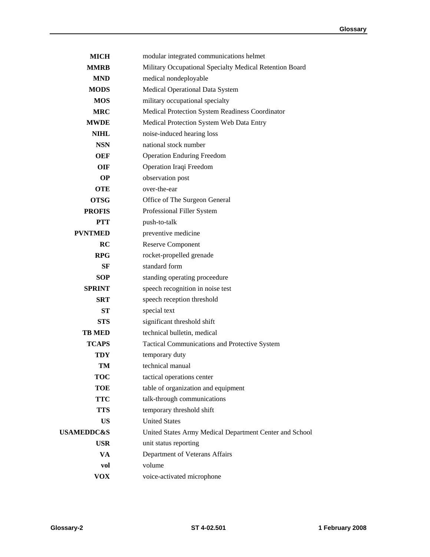| <b>MICH</b>           | modular integrated communications helmet                |
|-----------------------|---------------------------------------------------------|
| <b>MMRB</b>           | Military Occupational Specialty Medical Retention Board |
| <b>MND</b>            | medical nondeployable                                   |
| <b>MODS</b>           | Medical Operational Data System                         |
| <b>MOS</b>            | military occupational specialty                         |
| <b>MRC</b>            | Medical Protection System Readiness Coordinator         |
| <b>MWDE</b>           | Medical Protection System Web Data Entry                |
| <b>NIHL</b>           | noise-induced hearing loss                              |
| <b>NSN</b>            | national stock number                                   |
| <b>OEF</b>            | <b>Operation Enduring Freedom</b>                       |
| OIF                   | Operation Iraqi Freedom                                 |
| <b>OP</b>             | observation post                                        |
| <b>OTE</b>            | over-the-ear                                            |
| <b>OTSG</b>           | Office of The Surgeon General                           |
| <b>PROFIS</b>         | Professional Filler System                              |
| <b>PTT</b>            | push-to-talk                                            |
| <b>PVNTMED</b>        | preventive medicine                                     |
| RC                    | <b>Reserve Component</b>                                |
| <b>RPG</b>            | rocket-propelled grenade                                |
| <b>SF</b>             | standard form                                           |
| <b>SOP</b>            | standing operating proceedure                           |
| <b>SPRINT</b>         | speech recognition in noise test                        |
| <b>SRT</b>            | speech reception threshold                              |
| <b>ST</b>             | special text                                            |
| <b>STS</b>            | significant threshold shift                             |
| <b>TB MED</b>         | technical bulletin, medical                             |
| <b>TCAPS</b>          | Tactical Communications and Protective System           |
| <b>TDY</b>            | temporary duty                                          |
| TM                    | technical manual                                        |
| <b>TOC</b>            | tactical operations center                              |
| <b>TOE</b>            | table of organization and equipment                     |
| <b>TTC</b>            | talk-through communications                             |
| <b>TTS</b>            | temporary threshold shift                               |
| <b>US</b>             | <b>United States</b>                                    |
| <b>USAMEDDC&amp;S</b> | United States Army Medical Department Center and School |
| <b>USR</b>            | unit status reporting                                   |
| VA                    | Department of Veterans Affairs                          |
| vol                   | volume                                                  |
| <b>VOX</b>            | voice-activated microphone                              |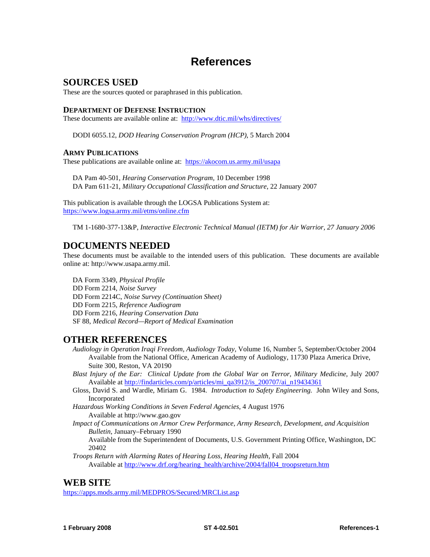## **References**

#### **SOURCES USED**

These are the sources quoted or paraphrased in this publication.

#### **DEPARTMENT OF DEFENSE INSTRUCTION**

These documents are available online at: <http://www.dtic.mil/whs/directives/>

DODI 6055.12, *DOD Hearing Conservation Program (HCP)*, 5 March 2004

#### **ARMY PUBLICATIONS**

These publications are available online at: <https://akocom.us.army.mil/usapa>

DA Pam 40-501, *Hearing Conservation Program,* 10 December 1998 DA Pam 611-21, *Military Occupational Classification and Structure*, 22 January 2007

This publication is available through the LOGSA Publications System at: <https://www.logsa.army.mil/etms/online.cfm>

TM 1-1680-377-13&P, *Interactive Electronic Technical Manual (IETM) for Air Warrior, 27 January 2006* 

### **DOCUMENTS NEEDED**

These documents must be available to the intended users of this publication. These documents are available online at: http://www.usapa.army.mil.

DA Form 3349, *Physical Profile*  DD Form 2214, *Noise Survey*  DD Form 2214C, *Noise Survey (Continuation Sheet)*  DD Form 2215, *Reference Audiogram* DD Form 2216, *Hearing Conservation Data* SF 88, *Medical Record—Report of Medical Examination*

### **OTHER REFERENCES**

*Audiology in Operation Iraqi Freedom, Audiology Today,* Volume 16, Number 5, September/October 2004 Available from the National Office, American Academy of Audiology, 11730 Plaza America Drive, Suite 300, Reston, VA 20190

- Blast Injury of the Ear: Clinical Update from the Global War on Terror, Military Medicine, July 2007 Available at [http://findarticles.com/p/articles/mi\\_qa3912/is\\_200707/ai\\_n19434361](http://findarticles.com/p/articles/mi_qa3912/is_200707/ai_n19434361)
- Gloss, David S. and Wardle, Miriam G. 1984. *Introduction to Safety Engineering.* John Wiley and Sons, Incorporated
- *Hazardous Working Conditions in Seven Federal Agencies,* 4 August 1976 Available at http://www.gao.gov
- *Impact of Communications on Armor Crew Performance, Army Research, Development, and Acquisition Bulletin,* January–February 1990

Available from the Superintendent of Documents, U.S. Government Printing Office, Washington, DC 20402

 *Troops Return with Alarming Rates of Hearing Loss, Hearing Health,* Fall 2004 Available at [http://www.drf.org/hearing\\_health/archive/2004/fall04\\_troopsreturn.htm](http://www.drf.org/hearing_health/archive/2004/fall04_troopsreturn.htm)

### **WEB SITE**

<https://apps.mods.army.mil/MEDPROS/Secured/MRCList.asp>